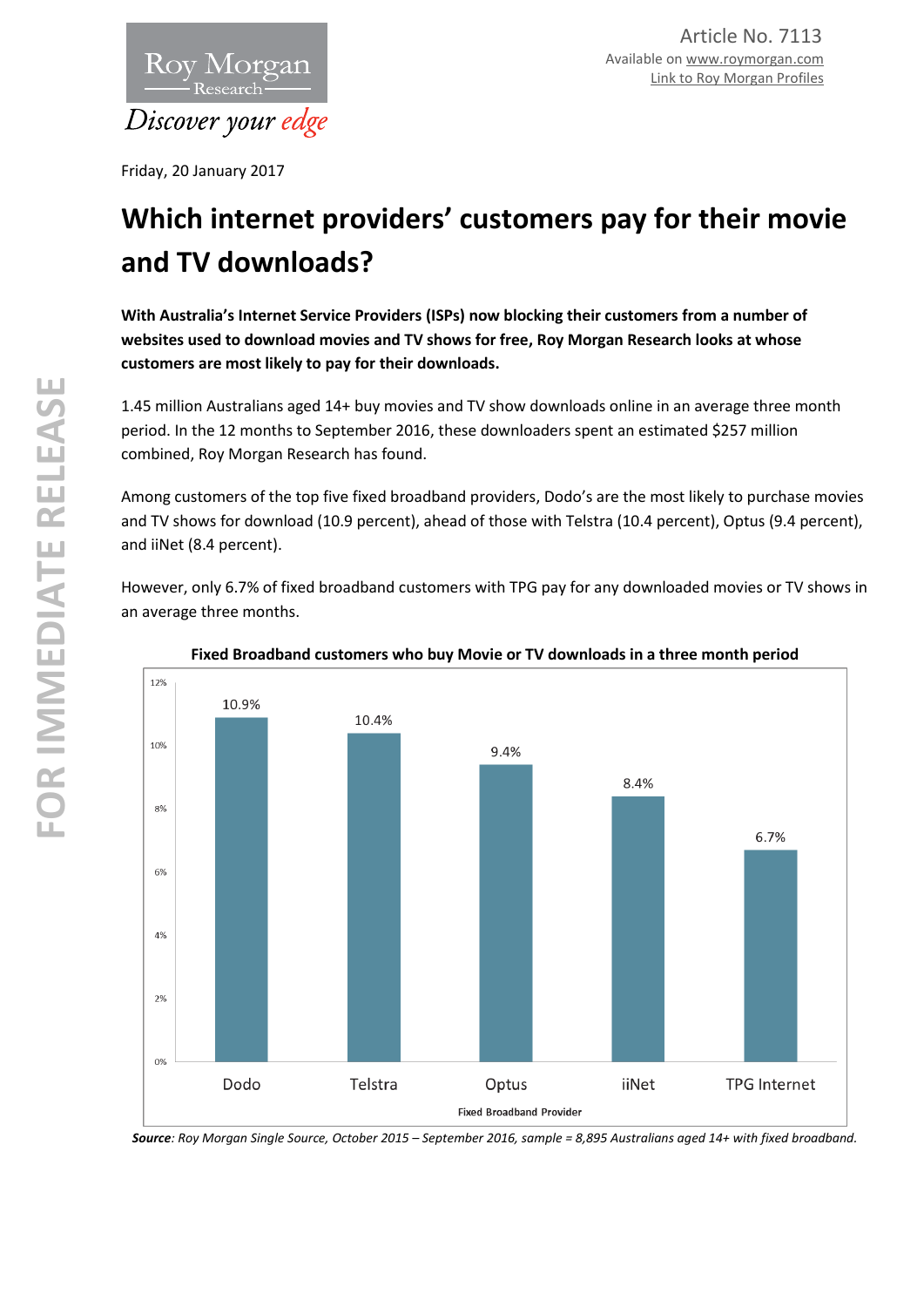

Friday, 20 January 2017

# **Which internet providers' customers pay for their movie and TV downloads?**

**With Australia's Internet Service Providers (ISPs) now blocking their customers from a number of websites used to download movies and TV shows for free, Roy Morgan Research looks at whose customers are most likely to pay for their downloads.**

1.45 million Australians aged 14+ buy movies and TV show downloads online in an average three month period. In the 12 months to September 2016, these downloaders spent an estimated \$257 million combined, Roy Morgan Research has found.

Among customers of the top five fixed broadband providers, Dodo's are the most likely to purchase movies and TV shows for download (10.9 percent), ahead of those with Telstra (10.4 percent), Optus (9.4 percent), and iiNet (8.4 percent).

However, only 6.7% of fixed broadband customers with TPG pay for any downloaded movies or TV shows in an average three months.



**Fixed Broadband customers who buy Movie or TV downloads in a three month period**

*Source: Roy Morgan Single Source, October 2015 – September 2016, sample = 8,895 Australians aged 14+ with fixed broadband.*